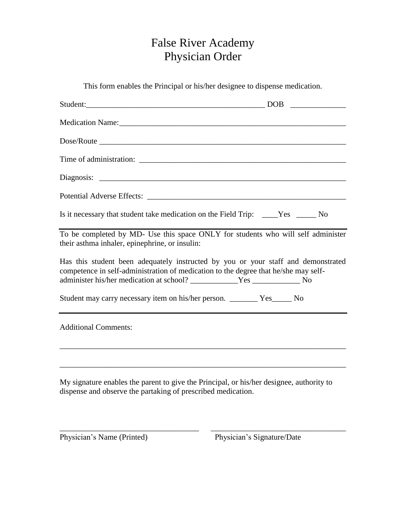## False River Academy Physician Order

This form enables the Principal or his/her designee to dispense medication.

| Student: DOB                                                                                                                                                             |  |
|--------------------------------------------------------------------------------------------------------------------------------------------------------------------------|--|
|                                                                                                                                                                          |  |
|                                                                                                                                                                          |  |
|                                                                                                                                                                          |  |
|                                                                                                                                                                          |  |
|                                                                                                                                                                          |  |
| Is it necessary that student take medication on the Field Trip: ____Yes _____No                                                                                          |  |
| To be completed by MD- Use this space ONLY for students who will self administer<br>their asthma inhaler, epinephrine, or insulin:                                       |  |
| Has this student been adequately instructed by you or your staff and demonstrated<br>competence in self-administration of medication to the degree that he/she may self- |  |
| Student may carry necessary item on his/her person. ________ Yes______ No                                                                                                |  |
| <b>Additional Comments:</b>                                                                                                                                              |  |
|                                                                                                                                                                          |  |
| My signature enables the parent to give the Principal, or his/her designee, authority to<br>dispense and observe the partaking of prescribed medication.                 |  |

\_\_\_\_\_\_\_\_\_\_\_\_\_\_\_\_\_\_\_\_\_\_\_\_\_\_\_\_\_\_\_\_\_\_\_ \_\_\_\_\_\_\_\_\_\_\_\_\_\_\_\_\_\_\_\_\_\_\_\_\_\_\_\_\_\_\_\_\_\_

Physician's Name (Printed) Physician's Signature/Date